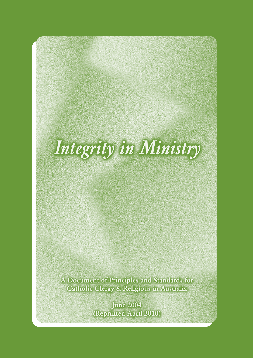# Integrity in Ministry

A Document of Principles and Standards for Catholic Clergy & Religious in Australia

> **June 2004** (Reprinted April 2010)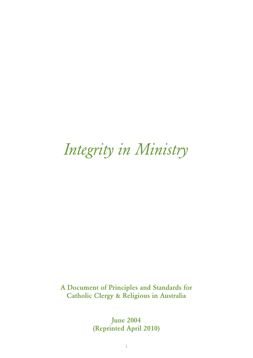# *Integrity in Ministry*

A Document of Principles and Standards for Catholic Clergy & Religious in Australia

> June 2004 (Reprinted April 2010)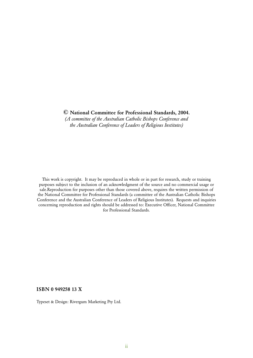*(A committee of the Australian Catholic Bishops Conference and the Australian Conference of Leaders of Religious Institutes)*

This work is copyright. It may be reproduced in whole or in part for research, study or training purposes subject to the inclusion of an acknowledgment of the source and no commercial usage or sale.Reproduction for purposes other than those covered above, requires the written permission of the National Committee for Professional Standards (a committee of the Australian Catholic Bishops Conference and the Australian Conference of Leaders of Religious Institutes). Requests and inquiries concerning reproduction and rights should be addressed to: Executive Officer, National Committee for Professional Standards.

#### ISBN 0 949258 13 X

Typeset & Design: Rivergum Marketing Pty Ltd.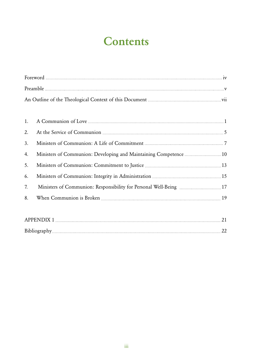# **Contents**

| 3. |                                                                    |  |
|----|--------------------------------------------------------------------|--|
| 4. | Ministers of Communion: Developing and Maintaining Competence 10   |  |
| 5. |                                                                    |  |
| 6. |                                                                    |  |
| 7. | Ministers of Communion: Responsibility for Personal Well-Being  17 |  |
| 8. |                                                                    |  |
|    |                                                                    |  |

| <i><b>APPENDIX</b></i> |  |
|------------------------|--|
|                        |  |
| Bibliography           |  |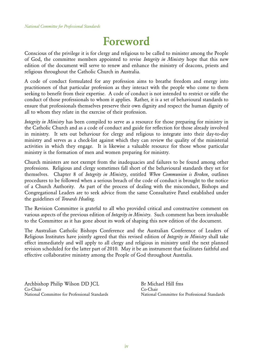# Foreword

Conscious of the privilege it is for clergy and religious to be called to minister among the People of God, the committee members appointed to revise *Integrity in Ministry* hope that this new edition of the document will serve to renew and enhance the ministry of deacons, priests and religious throughout the Catholic Church in Australia.

A code of conduct formulated for any profession aims to breathe freedom and energy into practitioners of that particular profession as they interact with the people who come to them seeking to benefit from their expertise. A code of conduct is not intended to restrict or stifle the conduct of those professionals to whom it applies. Rather, it is a set of behavioural standards to ensure that professionals themselves preserve their own dignity and respect the human dignity of all to whom they relate in the exercise of their profession.

*Integrity in Ministry* has been compiled to serve as a resource for those preparing for ministry in the Catholic Church and as a code of conduct and guide for reflection for those already involved in ministry. It sets out behaviour for clergy and religious to integrate into their day-to-day ministry and serves as a check-list against which they can review the quality of the ministerial activities in which they engage. It is likewise a valuable resource for those whose particular ministry is the formation of men and women preparing for ministry.

Church ministers are not exempt from the inadequacies and failures to be found among other professions. Religious and clergy sometimes fall short of the behavioural standards they set for themselves. Chapter 8 of *Integrity in Ministry*, entitled *When Communion is Broken*, outlines procedures to be followed when a serious breach of the code of conduct is brought to the notice of a Church Authority. As part of the process of dealing with the misconduct, Bishops and Congregational Leaders are to seek advice from the same Consultative Panel established under the guidelines of *Towards Healing*.

The Revision Committee is grateful to all who provided critical and constructive comment on various aspects of the previous edition of *Integrity in Ministry*. Such comment has been invaluable to the Committee as it has gone about its work of shaping this new edition of the document.

The Australian Catholic Bishops Conference and the Australian Conference of Leaders of Religious Institutes have jointly agreed that this revised edition of *Integrity in Ministry* shall take effect immediately and will apply to all clergy and religious in ministry until the next planned revision scheduled for the latter part of 2010. May it be an instrument that facilitates faithful and effective collaborative ministry among the People of God throughout Australia.

Archbishop Philip Wilson DD JCL Co-Chair National Committee for Professional Standards Br Michael Hill fms Co-Chair National Committee for Professional Standards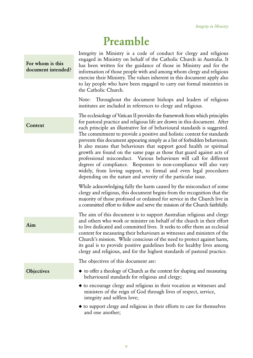# Preamble

For whom is this document intended? Integrity in Ministry is a code of conduct for clergy and religious engaged in Ministry on behalf of the Catholic Church in Australia. It has been written for the guidance of those in Ministry and for the information of those people with and among whom clergy and religious exercise their Ministry. The values inherent in this document apply also to lay people who have been engaged to carry out formal ministries in the Catholic Church.

Note: Throughout the document bishops and leaders of religious institutes are included in references to clergy and religious.

The ecclesiology of Vatican II provides the framework from which principles for pastoral practice and religious life are drawn in this document. After each principle an illustrative list of behavioural standards is suggested. The commitment to provide a positive and holistic context for standards prevents this document appearing simply as a list of forbidden behaviours. It also means that behaviours that support good health or spiritual growth are found on the same page as those that guard against acts of professional misconduct. Various behaviours will call for different degrees of compliance. Responses to non-compliance will also vary widely, from loving support, to formal and even legal procedures depending on the nature and severity of the particular issue.

While acknowledging fully the harm caused by the misconduct of some clergy and religious, this document begins from the recognition that the majority of those professed or ordained for service in the Church live in a committed effort to follow and serve the mission of the Church faithfully.

The aim of this document is to support Australian religious and clergy and others who work or minister on behalf of the church in their effort to live dedicated and committed lives. It seeks to offer them an ecclesial context for measuring their behaviours as witnesses and ministers of the Church's mission. While conscious of the need to protect against harm, its goal is to provide positive guidelines both for healthy lives among clergy and religious, and for the highest standards of pastoral practice.

The objectives of this document are:

- ◆ to offer a theology of Church as the context for shaping and measuring behavioural standards for religious and clergy;
	- ◆ to encourage clergy and religious in their vocation as witnesses and ministers of the reign of God through lives of respect, service, integrity and selfless love;
	- ◆ to support clergy and religious in their efforts to care for themselves and one another;

#### Context

Aim

**Objectives**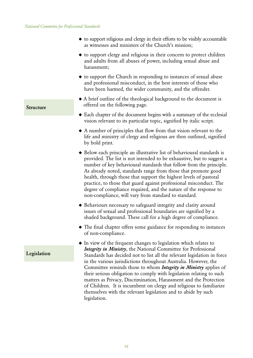- ◆ to support religious and clergy in their efforts to be visibly accountable as witnesses and ministers of the Church's mission;
- ◆ to support clergy and religious in their concern to protect children and adults from all abuses of power, including sexual abuse and harassment;
- ◆ to support the Church in responding to instances of sexual abuse and professional misconduct, in the best interests of those who have been harmed, the wider community, and the offender.
- ◆ A brief outline of the theological background to the document is offered on the following page.
- ◆ Each chapter of the document begins with a summary of the ecclesial vision relevant to its particular topic, signified by italic script.
- ◆ A number of principles that flow from that vision relevant to the life and ministry of clergy and religious are then outlined, signified by bold print.
- ◆ Below each principle an illustrative list of behavioural standards is provided. The list is not intended to be exhaustive, but to suggest a number of key behavioural standards that follow from the principle. As already noted, standards range from those that promote good health, through those that support the highest levels of pastoral practice, to those that guard against professional misconduct. The degree of compliance required, and the nature of the response to non-compliance, will vary from standard to standard.
- ◆ Behaviours necessary to safeguard integrity and clarity around issues of sexual and professional boundaries are signified by a shaded background. These call for a high degree of compliance.
- ◆ The final chapter offers some guidance for responding to instances of non-compliance.
- ◆ In view of the frequent changes to legislation which relates to *Integrity in Ministry*, the National Committee for Professional Standards has decided not to list all the relevant legislation in force in the various jurisdictions throughout Australia. However, the Committee reminds those to whom *Integrity in Ministry* applies of their serious obligation to comply with legislation relating to such matters as Privacy, Discrimination, Harassment and the Protection of Children. It is incumbent on clergy and religious to familiarize themselves with the relevant legislation and to abide by such legislation.

Structure

Legislation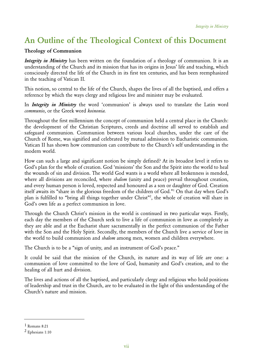# An Outline of the Theological Context of this Document

#### Theology of Communion

*Integrity in Ministry* has been written on the foundation of a theology of communion. It is an understanding of the Church and its mission that has its origins in Jesus' life and teaching, which consciously directed the life of the Church in its first ten centuries, and has been reemphasized in the teaching of Vatican II.

This notion, so central to the life of the Church, shapes the lives of all the baptised, and offers a reference by which the ways clergy and religious live and minister may be evaluated.

In *Integrity in Ministry* the word 'communion' is always used to translate the Latin word *communio*, or the Greek word *koinonia.*

Throughout the first millennium the concept of communion held a central place in the Church: the development of the Christian Scriptures, creeds and doctrine all served to establish and safeguard communion. Communion between various local churches, under the care of the Church of Rome, was signified and celebrated by mutual admission to Eucharistic communion. Vatican II has shown how communion can contribute to the Church's self understanding in the modern world.

How can such a large and significant notion be simply defined? At its broadest level it refers to God's plan for the whole of creation. God 'missions' the Son and the Spirit into the world to heal the wounds of sin and division. The world God wants is a world where all brokenness is mended, where all divisions are reconciled, where *shalom* (unity and peace) prevail throughout creation, and every human person is loved, respected and honoured as a son or daughter of God. Creation itself awaits its "share in the glorious freedom of the children of God."1 On that day when God's plan is fulfilled to "bring all things together under Christ"<sup>2</sup>, the whole of creation will share in God's own life as a perfect communion in love.

Through the Church Christ's mission in the world is continued in two particular ways. Firstly, each day the members of the Church seek to live a life of communion in love as completely as they are able and at the Eucharist share sacramentally in the perfect communion of the Father with the Son and the Holy Spirit. Secondly, the members of the Church live a service of love in the world to build communion and *shalom* among men, women and children everywhere.

The Church is to be a "sign of unity, and an instrument of God's peace."

It could be said that the mission of the Church, its nature and its way of life are one: a communion of love committed to the love of God, humanity and God's creation, and to the healing of all hurt and division.

The lives and actions of all the baptised, and particularly clergy and religious who hold positions of leadership and trust in the Church, are to be evaluated in the light of this understanding of the Church's nature and mission.

<sup>1</sup> Romans 8:21

<sup>2</sup> Ephesians 1:10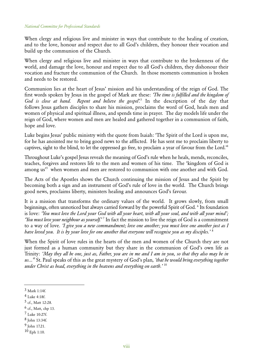When clergy and religious live and minister in ways that contribute to the healing of creation, and to the love, honour and respect due to all God's children, they honour their vocation and build up the communion of the Church.

When clergy and religious live and minister in ways that contribute to the brokenness of the world, and damage the love, honour and respect due to all God's children, they dishonour their vocation and fracture the communion of the Church. In those moments communion is broken and needs to be restored.

Communion lies at the heart of Jesus' mission and his understanding of the reign of God. The first words spoken by Jesus in the gospel of Mark are these: *'The time is fulfilled and the kingdom of God is close at hand. Repent and believe the gospel'.*<sup>3</sup> In the description of the day that follows Jesus gathers disciples to share his mission, proclaims the word of God, heals men and women of physical and spiritual illness, and spends time in prayer. The day models life under the reign of God, where women and men are healed and gathered together in a communion of faith, hope and love.

Luke begins Jesus' public ministry with the quote from Isaiah: 'The Spirit of the Lord is upon me, for he has anointed me to bring good news to the afflicted. He has sent me to proclaim liberty to captives, sight to the blind, to let the oppressed go free, to proclaim a year of favour from the Lord.'4

Throughout Luke's gospel Jesus reveals the meaning of God's rule when he heals, mends, reconciles, teaches, forgives and restores life to the men and women of his time. The 'kingdom of God is among us<sup>35</sup> when women and men are restored to communion with one another and with God.

The Acts of the Apostles shows the Church continuing the mission of Jesus and the Spirit by becoming both a sign and an instrument of God's rule of love in the world. The Church brings good news, proclaims liberty, ministers healing and announces God's favour.

It is a mission that transforms the ordinary values of the world. It grows slowly, from small beginnings, often unnoticed but always carried forward by the powerful Spirit of God. <sup>6</sup> Its foundation is love: *'You must love the Lord your God with all your heart, with all your soul, and with all your mind'; 'You must love your neighbour as yourself.'*<sup>7</sup> In fact the mission to live the reign of God is a commitment to a way of love. *'I give you a new commandment; love one another; you must love one another just as I have loved you. It is by your love for one another that everyone will recognise you as my disciples.'* <sup>8</sup>

When the Spirit of love rules in the hearts of the men and women of the Church they are not just formed as a human community but they share in the communion of God's own life as Trinity: *'May they all be one, just as, Father, you are in me and I am in you, so that they also may be in us...'9* St. Paul speaks of this as the great mystery of God's plan*, 'that he would bring everything together under Christ as head, everything in the heavens and everything on earth.'* <sup>10</sup>

- 5 cf., Matt 12:28.
- 6 cf., Matt, chp 13.
- 7 Luke 10:27f.
- 8 John 13:34f.
- 9 John 17.21.
- 10 Eph 1:10.

<sup>3</sup> Mark 1:14f.

<sup>4</sup> Luke 4:18f.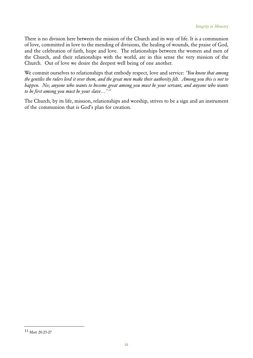There is no division here between the mission of the Church and its way of life. It is a communion of love, committed in love to the mending of divisions, the healing of wounds, the praise of God, and the celebration of faith, hope and love. The relationships between the women and men of the Church, and their relationships with the world, are in this sense the very mission of the Church. Out of love we desire the deepest well being of one another.

We commit ourselves to relationships that embody respect, love and service: *'You know that among the gentiles the rulers lord it over them, and the great men make their authority felt. Among you this is not to happen. No; anyone who wants to become great among you must be your servant, and anyone who wants to be first among you must be your slave…' 11*

The Church, by its life, mission, relationships and worship, strives to be a sign and an instrument of the communion that is God's plan for creation.

<sup>11</sup> Matt 20:25-27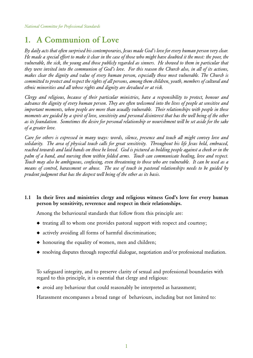### 1. A Communion of Love

*By daily acts that often surprised his contemporaries, Jesus made God's love for every human person very clear. He made a special effort to make it clear in the case of those who might have doubted it the most: the poor, the*  vulnerable, the sick, the young and those publicly regarded as sinners. He showed to them in particular that *they were invited into the communion of God's love. For this reason the Church also, in all of its actions, makes clear the dignity and value of every human person, especially those most vulnerable. The Church is committed to protect and respect the rights of all persons, among them children, youth, members of cultural and ethnic minorities and all whose rights and dignity are devalued or at risk.* 

*Clergy and religious, because of their particular ministries, have a responsibility to protect, honour and advance the dignity of every human person. They are often welcomed into the lives of people at sensitive and important moments, when people are more than usually vulnerable. Their relationships with people in these moments are guided by a spirit of love, sensitivity and personal disinterest that has the well being of the other as its foundation. Sometimes the desire for personal relationship or nourishment will be set aside for the sake of a greater love.*

*Care for others is expressed in many ways: words, silence, presence and touch all might convey love and solidarity. The area of physical touch calls for great sensitivity. Throughout his life Jesus held, embraced, reached towards and laid hands on those he loved. God is pictured as holding people against a cheek or in the palm of a hand, and nursing them within folded arms. Touch can communicate healing, love and respect. Touch may also be ambiguous, confusing, even threatening to those who are vulnerable. It can be used as a means of control, harassment or abuse. The use of touch in pastoral relationships needs to be guided by prudent judgment that has the deepest well being of the other as its basis.*

#### 1.1 In their lives and ministries clergy and religious witness God's love for every human person by sensitivity, reverence and respect in their relationships.

Among the behavioural standards that follow from this principle are:

- ◆ treating all to whom one provides pastoral support with respect and courtesy;
- ◆ actively avoiding all forms of harmful discrimination;
- ◆ honouring the equality of women, men and children;
- ◆ resolving disputes through respectful dialogue, negotiation and/or professional mediation.

To safeguard integrity, and to preserve clarity of sexual and professional boundaries with regard to this principle, it is essential that clergy and religious:

 ◆ avoid any behaviour that could reasonably be interpreted as harassment;

Harassment encompasses a broad range of behaviours, including but not limited to: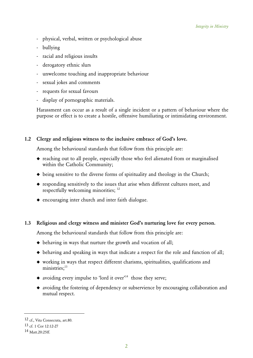- physical, verbal, written or psychological abuse
- bullying
- racial and religious insults
- derogatory ethnic slurs
- unwelcome touching and inappropriate behaviour
- sexual jokes and comments
- requests for sexual favours
- display of pornographic materials.

Harassment can occur as a result of a single incident or a pattern of behaviour where the purpose or effect is to create a hostile, offensive humiliating or intimidating environment.

#### 1.2 Clergy and religious witness to the inclusive embrace of God's love.

Among the behavioural standards that follow from this principle are:

- ◆ reaching out to all people, especially those who feel alienated from or marginalised within the Catholic Community;
- ◆ being sensitive to the diverse forms of spirituality and theology in the Church;
- ◆ responding sensitively to the issues that arise when different cultures meet, and respectfully welcoming minorities; 12
- ◆ encouraging inter church and inter faith dialogue.

#### 1.3 Religious and clergy witness and minister God's nurturing love for every person.

- ◆ behaving in ways that nurture the growth and vocation of all;
- ◆ behaving and speaking in ways that indicate a respect for the role and function of all;
- ◆ working in ways that respect different charisms, spiritualities, qualifications and ministries:<sup>13</sup>
- $\bullet$  avoiding every impulse to 'lord it over'<sup>14</sup> those they serve;
- ◆ avoiding the fostering of dependency or subservience by encouraging collaboration and mutual respect.

<sup>12</sup> cf., Vita Consecrata, art.80.

<sup>13</sup> cf. 1 Cor 12:12-27

<sup>14</sup> Matt.20:25ff.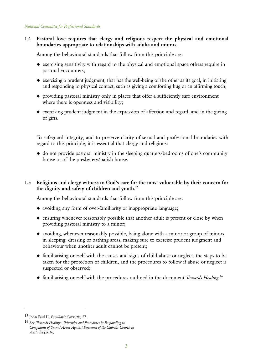#### 1.4 Pastoral love requires that clergy and religious respect the physical and emotional boundaries appropriate to relationships with adults and minors.

Among the behavioural standards that follow from this principle are:

- ◆ exercising sensitivity with regard to the physical and emotional space others require in pastoral encounters;
- ◆ exercising a prudent judgment, that has the well-being of the other as its goal, in initiating and responding to physical contact, such as giving a comforting hug or an affirming touch;
- ◆ providing pastoral ministry only in places that offer a sufficiently safe environment where there is openness and visibility;
- ◆ exercising prudent judgment in the expression of affection and regard, and in the giving of gifts.

 To safeguard integrity, and to preserve clarity of sexual and professional boundaries with regard to this principle, it is essential that clergy and religious:

◆ do not provide pastoral ministry in the sleeping quarters/bedrooms of one's community house or of the presbytery/parish house.

#### 1.5 Religious and clergy witness to God's care for the most vulnerable by their concern for the dignity and safety of children and youth.15

- ◆ avoiding any form of over-familiarity or inappropriate language;
- ◆ ensuring whenever reasonably possible that another adult is present or close by when providing pastoral ministry to a minor;
- ◆ avoiding, whenever reasonably possible, being alone with a minor or group of minors in sleeping, dressing or bathing areas, making sure to exercise prudent judgment and behaviour when another adult cannot be present;
- ◆ familiarising oneself with the causes and signs of child abuse or neglect, the steps to be taken for the protection of children, and the procedures to follow if abuse or neglect is suspected or observed;
- ◆ familiarising oneself with the procedures outlined in the document *Towards Healing.*<sup>16</sup>

<sup>15</sup> John Paul II, *Familiaris Consortio,* 27.

<sup>16</sup> See *Towards Healing: Principles and Procedures in Responding to Complaints of Sexual Abuse Against Personnel of the Catholic Church in Australia (2010)*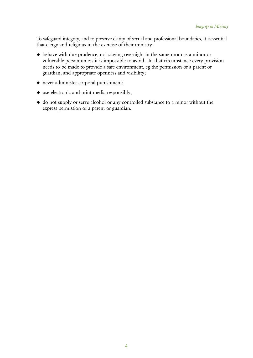To safeguard integrity, and to preserve clarity of sexual and professional boundaries, it isessential that clergy and religious in the exercise of their ministry:

- ◆ behave with due prudence, not staying overnight in the same room as a minor or vulnerable person unless it is impossible to avoid. In that circumstance every provision needs to be made to provide a safe environment, eg the permission of a parent or guardian, and appropriate openness and visibility;
- ◆ never administer corporal punishment;
- ◆ use electronic and print media responsibly;
- ◆ do not supply or serve alcohol or any controlled substance to a minor without the express permission of a parent or guardian.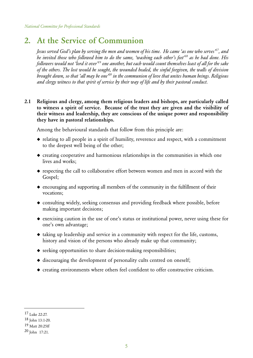### 2. At the Service of Communion

 *Jesus served God's plan by serving the men and women of his time. He came 'as one who serves'17, and he invited those who followed him to do the same, 'washing each other's feet'18 as he had done. His followers would not 'lord it over'19 one another, but each would count themselves least of all for the sake of the others. The lost would be sought, the wounded healed, the sinful forgiven, the walls of division brought down, so that 'all may be one'20 in the communion of love that unites human beings. Religious and clergy witness to that spirit of service by their way of life and by their pastoral conduct.*

2.1 Religious and clergy, among them religious leaders and bishops, are particularly called to witness a spirit of service. Because of the trust they are given and the visibility of their witness and leadership, they are conscious of the unique power and responsibility they have in pastoral relationships.

- ◆ relating to all people in a spirit of humility, reverence and respect, with a commitment to the deepest well being of the other;
- ◆ creating cooperative and harmonious relationships in the communities in which one lives and works;
- ◆ respecting the call to collaborative effort between women and men in accord with the Gospel;
- ◆ encouraging and supporting all members of the community in the fulfillment of their vocations;
- ◆ consulting widely, seeking consensus and providing feedback where possible, before making important decisions;
- ◆ exercising caution in the use of one's status or institutional power, never using these for one's own advantage;
- ◆ taking up leadership and service in a community with respect for the life, customs, history and vision of the persons who already make up that community;
- ◆ seeking opportunities to share decision-making responsibilities;
- ◆ discouraging the development of personality cults centred on oneself;
- ◆ creating environments where others feel confident to offer constructive criticism.

<sup>17</sup> Luke 22:27.

<sup>18</sup> John 13:1-20.

<sup>19</sup> Matt 20:25ff

<sup>20</sup> John 17:21.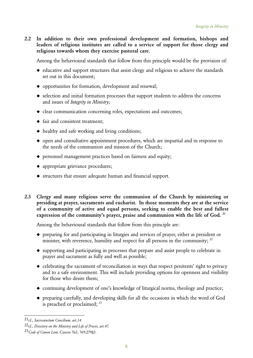2.2 In addition to their own professional development and formation, bishops and leaders of religious institutes are called to a service of support for those clergy and religious towards whom they exercise pastoral care.

Among the behavioural standards that follow from this principle would be the provision of:

- ◆ educative and support structures that assist clergy and religious to achieve the standards set out in this document;
- ◆ opportunities for formation, development and renewal;
- ◆ selection and initial formation processes that support students to address the concerns and issues of *Integrity in Ministry;*
- ◆ clear communication concerning roles, expectations and outcomes;
- ◆ fair and consistent treatment;
- $\bullet$  healthy and safe working and living conditions;
- ◆ open and consultative appointment procedures, which are impartial and in response to the needs of the communion and mission of the Church;
- ◆ personnel management practices based on fairness and equity;
- ◆ appropriate grievance procedures;
- ◆ structures that ensure adequate human and financial support.
- 2.3 Clergy and many religious serve the communion of the Church by ministering or presiding at prayer, sacraments and eucharist. In those moments they are at the service of a community of active and equal persons, seeking to enable the best and fullest expression of the community's prayer, praise and communion with the life of God.<sup>21</sup>

- ◆ preparing for and participating in liturgies and services of prayer, either as president or minister, with reverence, humility and respect for all persons in the community;  $^{22}$
- ◆ supporting and participating in processes that prepare and assist people to celebrate in prayer and sacrament as fully and well as possible;
- ◆ celebrating the sacrament of reconciliation in ways that respect penitents' right to privacy and to a safe environment. This will include providing options for openness and visibility for those who desire them;
- $\bullet$  continuing development of one's knowledge of liturgical norms, theology and practice;
- ◆ preparing carefully, and developing skills for all the occasions in which the word of God is preached or proclaimed; <sup>23</sup>

<sup>21</sup>cf., *Sacrosanctum Concilium, art.14.*

<sup>22</sup>cf., *Directory on the Ministry and Life of Priests, art.47.*

<sup>23</sup>*Code of Canon Law,* Canon 762; 769;279§3.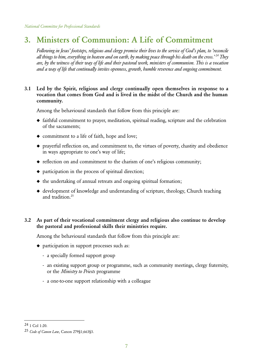# 3. Ministers of Communion: A Life of Commitment

 *Following in Jesus' footsteps, religious and clergy promise their lives to the service of God's plan, to 'reconcile all things to him, everything in heaven and on earth, by making peace through his death on the cross.' 24 They are, by the witness of their way of life and their pastoral work, ministers of communion. This is a vocation and a way of life that continually invites openness, growth, humble reverence and ongoing commitment.*

#### 3.1 Led by the Spirit, religious and clergy continually open themselves in response to a vocation that comes from God and is lived in the midst of the Church and the human community.

Among the behavioural standards that follow from this principle are:

- ◆ faithful commitment to prayer, meditation, spiritual reading, scripture and the celebration of the sacraments;
- ◆ commitment to a life of faith, hope and love;
- ◆ prayerful reflection on, and commitment to, the virtues of poverty, chastity and obedience in ways appropriate to one's way of life;
- ◆ reflection on and commitment to the charism of one's religious community;
- ◆ participation in the process of spiritual direction;
- ◆ the undertaking of annual retreats and ongoing spiritual formation;
- ◆ development of knowledge and understanding of scripture, theology, Church teaching and tradition.25

#### 3.2 As part of their vocational commitment clergy and religious also continue to develop the pastoral and professional skills their ministries require.

- ◆ participation in support processes such as:
	- a specially formed support group
	- an existing support group or programme, such as community meetings, clergy fraternity, or the *Ministry to Priests* programme
	- a one-to-one support relationship with a colleague

<sup>24 1</sup> Col 1:20.

<sup>25</sup> *Code of Canon Law*, Canon 279§1;663§3.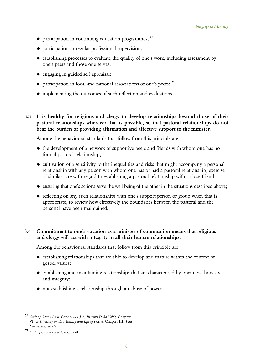- $\bullet$  participation in continuing education programmes;  $^{26}$
- $\bullet$  participation in regular professional supervision;
- $\bullet$  establishing processes to evaluate the quality of one's work, including assessment by one's peers and those one serves;
- ◆ engaging in guided self appraisal;
- $\bullet$  participation in local and national associations of one's peers;  $27$
- ◆ implementing the outcomes of such reflection and evaluations.
- 3.3 It is healthy for religious and clergy to develop relationships beyond those of their pastoral relationships wherever that is possible, so that pastoral relationships do not bear the burden of providing affirmation and affective support to the minister.

Among the behavioural standards that follow from this principle are:

- ◆ the development of a network of supportive peers and friends with whom one has no formal pastoral relationship;
- ◆ cultivation of a sensitivity to the inequalities and risks that might accompany a personal relationship with any person with whom one has or had a pastoral relationship; exercise of similar care with regard to establishing a pastoral relationship with a close friend;
- ◆ ensuring that one's actions serve the well being of the other in the situations described above;
- ◆ reflecting on any such relationships with one's support person or group when that is appropriate, to review how effectively the boundaries between the pastoral and the personal have been maintained.

#### 3.4 Commitment to one's vocation as a minister of communion means that religious and clergy will act with integrity in all their human relationships.

- ◆ establishing relationships that are able to develop and mature within the context of gospel values;
- ◆ establishing and maintaining relationships that are characterised by openness, honesty and integrity;
- ◆ not establishing a relationship through an abuse of power.

<sup>26</sup> *Code of Canon Law,* Canon 279 § 2, *Pastores Dabo Vobis,* Chapter VI; cf *Directory on the Ministry and Life of Priests,* Chapter III; *Vita Consecrata,* art.69.

<sup>27</sup> *Code of Canon Law,* Canon 278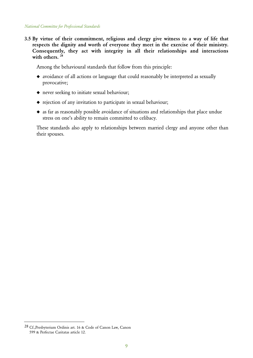3.5 By virtue of their commitment, religious and clergy give witness to a way of life that respects the dignity and worth of everyone they meet in the exercise of their ministry. Consequently, they act with integrity in all their relationships and interactions with others.<sup>28</sup>

Among the behavioural standards that follow from this principle:

- ◆ avoidance of all actions or language that could reasonably be interpreted as sexually provocative;
- ◆ never seeking to initiate sexual behaviour;
- ◆ rejection of any invitation to participate in sexual behaviour;
- ◆ as far as reasonably possible avoidance of situations and relationships that place undue stress on one's ability to remain committed to celibacy.

 These standards also apply to relationships between married clergy and anyone other than their spouses.

<sup>28</sup> Cf.,Presbyterium Ordinis art. 16 & Code of Canon Law, Canon 599 & Perfectae Caritatas article 12.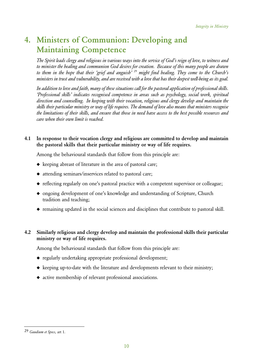# 4. Ministers of Communion: Developing and Maintaining Competence

 *The Spirit leads clergy and religious in various ways into the service of God's reign of love, to witness and to minister the healing and communion God desires for creation. Because of this many people are drawn to them in the hope that their 'grief and anguish' 29 might find healing. They come to the Church's ministers in trust and vulnerability, and are received with a love that has their deepest well-being as its goal.*

 *In addition to love and faith, many of these situations call for the pastoral application of professional skills. 'Professional skills' indicates recognised competence in areas such as psychology, social work, spiritual direction and counselling. In keeping with their vocation, religious and clergy develop and maintain the skills their particular ministry or way of life requires. The demand of love also means that ministers recognise the limitations of their skills, and ensure that those in need have access to the best possible resources and care when their own limit is reached.*

#### 4.1 In response to their vocation clergy and religious are committed to develop and maintain the pastoral skills that their particular ministry or way of life requires.

Among the behavioural standards that follow from this principle are:

- ◆ keeping abreast of literature in the area of pastoral care;
- ◆ attending seminars/inservices related to pastoral care;
- ◆ reflecting regularly on one's pastoral practice with a competent supervisor or colleague;
- ◆ ongoing development of one's knowledge and understanding of Scripture, Church tradition and teaching;
- ◆ remaining updated in the social sciences and disciplines that contribute to pastoral skill.

#### 4.2 Similarly religious and clergy develop and maintain the professional skills their particular ministry or way of life requires.

- ◆ regularly undertaking appropriate professional development;
- ◆ keeping up-to-date with the literature and developments relevant to their ministry;
- ◆ active membership of relevant professional associations.

<sup>29</sup> *Gaudium et Specs,* art 1.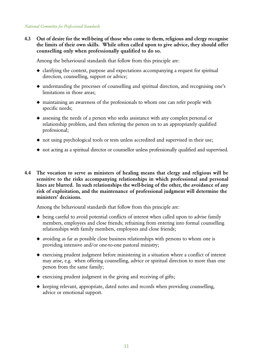4.3 Out of desire for the well-being of those who come to them, religious and clergy recognise the limits of their own skills. While often called upon to give advice, they should offer counselling only when professionally qualified to do so.

Among the behavioural standards that follow from this principle are:

- ◆ clarifying the context, purpose and expectations accompanying a request for spiritual direction, counselling, support or advice;
- ◆ understanding the processes of counselling and spiritual direction, and recognising one's limitations in those areas;
- ◆ maintaining an awareness of the professionals to whom one can refer people with specific needs;
- ◆ assessing the needs of a person who seeks assistance with any complex personal or relationship problem, and then referring the person on to an appropriately qualified professional;
- ◆ not using psychological tools or tests unless accredited and supervised in their use;
- ◆ not acting as a spiritual director or counsellor unless professionally qualified and supervised.
- 4.4 The vocation to serve as ministers of healing means that clergy and religious will be sensitive to the risks accompanying relationships in which professional and personal lines are blurred. In such relationships the well-being of the other, the avoidance of any risk of exploitation, and the maintenance of professional judgment will determine the ministers' decisions.

- ◆ being careful to avoid potential conflicts of interest when called upon to advise family members, employees and close friends; refraining from entering into formal counselling relationships with family members, employees and close friends;
- ◆ avoiding as far as possible close business relationships with persons to whom one is providing intensive and/or one-to-one pastoral ministry;
- ◆ exercising prudent judgment before ministering in a situation where a conflict of interest may arise, e.g. when offering counselling, advice or spiritual direction to more than one person from the same family;
- ◆ exercising prudent judgment in the giving and receiving of gifts;
- ◆ keeping relevant, appropriate, dated notes and records when providing counselling, advice or emotional support.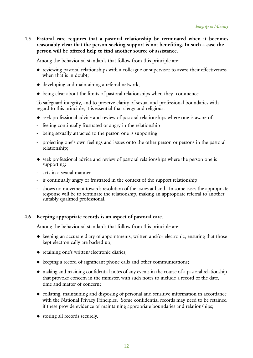4.5 Pastoral care requires that a pastoral relationship be terminated when it becomes reasonably clear that the person seeking support is not benefiting. In such a case the person will be offered help to find another source of assistance.

Among the behavioural standards that follow from this principle are:

- ◆ reviewing pastoral relationships with a colleague or supervisor to assess their effectiveness when that is in doubt;
- ◆ developing and maintaining a referral network;
- ◆ being clear about the limits of pastoral relationships when they commence.

To safeguard integrity, and to preserve clarity of sexual and professional boundaries with regard to this principle, it is essential that clergy and religious:

- ◆ seek professional advice and review of pastoral relationships where one is aware of:
- feeling continually frustrated or angry in the relationship
- being sexually attracted to the person one is supporting
- projecting one's own feelings and issues onto the other person or persons in the pastoral relationship;
- ◆ seek professional advice and review of pastoral relationships where the person one is supporting:
- acts in a sexual manner
- is continually angry or frustrated in the context of the support relationship
- shows no movement towards resolution of the issues at hand. In some cases the appropriate response will be to terminate the relationship, making an appropriate referral to another suitably qualified professional.

#### 4.6 Keeping appropriate records is an aspect of pastoral care.

- ◆ keeping an accurate diary of appointments, written and/or electronic, ensuring that those kept electronically are backed up;
- ◆ retaining one's written/electronic diaries;
- ◆ keeping a record of significant phone calls and other communications;
- ◆ making and retaining confidential notes of any events in the course of a pastoral relationship that provoke concern in the minister, with such notes to include a record of the date, time and matter of concern;
- ◆ collating, maintaining and disposing of personal and sensitive information in accordance with the National Privacy Principles. Some confidential records may need to be retained if these provide evidence of maintaining appropriate boundaries and relationships;
- ◆ storing all records securely.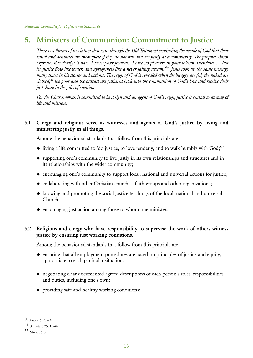### 5. Ministers of Communion: Commitment to Justice

 *There is a thread of revelation that runs through the Old Testament reminding the people of God that their ritual and activities are incomplete if they do not live and act justly as a community. The prophet Amos expresses this clearly: 'I hate, I scorn your festivals, I take no pleasure in your solemn assemblies … but let justice flow like water, and uprightness like a never failing stream.'30 Jesus took up the same message many times in his stories and actions. The reign of God is revealed when the hungry are fed, the naked are clothed,31 the poor and the outcast are gathered back into the communion of God's love and receive their just share in the gifts of creation.*

 *For the Church which is committed to be a sign and an agent of God's reign, justice is central to its way of life and mission.*

#### 5.1 Clergy and religious serve as witnesses and agents of God's justice by living and ministering justly in all things.

Among the behavioural standards that follow from this principle are:

- $\blacklozenge$  living a life committed to 'do justice, to love tenderly, and to walk humbly with God;<sup>32</sup>
- ◆ supporting one's community to live justly in its own relationships and structures and in its relationships with the wider community;
- ◆ encouraging one's community to support local, national and universal actions for justice;
- ◆ collaborating with other Christian churches, faith groups and other organizations;
- ◆ knowing and promoting the social justice teachings of the local, national and universal Church;
- ◆ encouraging just action among those to whom one ministers.

#### 5.2 Religious and clergy who have responsibility to supervise the work of others witness justice by ensuring just working conditions.

- ◆ ensuring that all employment procedures are based on principles of justice and equity, appropriate to each particular situation;
- ◆ negotiating clear documented agreed descriptions of each person's roles, responsibilities and duties, including one's own;
- ◆ providing safe and healthy working conditions;

<sup>30</sup> Amos 5:21-24.

<sup>31</sup> cf., Matt 25:31-46.

<sup>32</sup> Micah 6:8.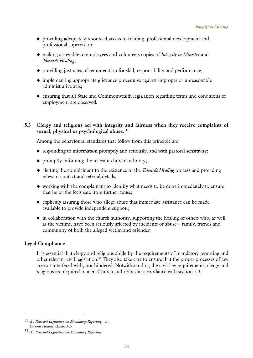- ◆ providing adequately resourced access to training, professional development and professional supervision;
- ◆ making accessible to employees and volunteers copies of *Integrity in Ministry* and *Towards Healing*;
- ◆ providing just rates of remuneration for skill, responsibility and performance;
- ◆ implementing appropriate grievance procedures against improper or unreasonable administrative acts;
- ◆ ensuring that all State and Commonwealth legislation regarding terms and conditions of employment are observed.

#### 5.3 Clergy and religious act with integrity and fairness when they receive complaints of sexual, physical or psychological abuse.<sup>33</sup>

Among the behavioural standards that follow from this principle are:

- ◆ responding to information promptly and seriously, and with pastoral sensitivity;
- ◆ promptly informing the relevant church authority;
- ◆ alerting the complainant to the existence of the *Towards Healing* process and providing relevant contact and referral details;
- ◆ working with the complainant to identify what needs to be done immediately to ensure that he or she feels safe from further abuse;
- ◆ explicitly assuring those who allege abuse that immediate assistance can be made available to provide independent support;
- $\bullet$  in collaboration with the church authority, supporting the healing of others who, as well as the victims, have been seriously affected by incidents of abuse – family, friends and community of both the alleged victim and offender.

#### Legal Compliance

 It is essential that clergy and religious abide by the requirements of mandatory reporting and other relevant civil legislation.<sup>34</sup> They also take care to ensure that the proper processes of law are not interfered with, nor hindered. Notwithstanding the civil law requirements, clergy and religious are required to alert Church authorities in accordance with section 5.3.

<sup>33</sup> cf., *Relevant Legislation on Mandatory Reporting.* cf., *Towards Healing,* clause 37.5

<sup>34</sup> cf., *Relevant Legislation on Mandatory Reporting*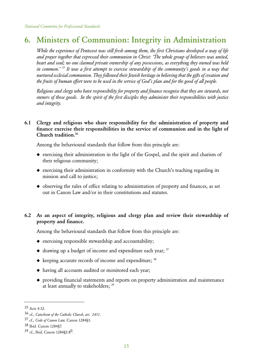### 6. Ministers of Communion: Integrity in Administration

 *While the experience of Pentecost was still fresh among them, the first Christians developed a way of life and prayer together that expressed their communion in Christ: 'The whole group of believers was united, heart and soul; no one claimed private ownership of any possessions, as everything they owned was held in common.' 35 It was a first attempt to exercise stewardship of the community's goods in a way that nurtured ecclesial communion. They followed their Jewish heritage in believing that the gifts of creation and the fruits of human effort were to be used in the service of God's plan and for the good of all people.*

 *Religious and clergy who have responsibility for property and finance recognise that they are stewards, not owners of those goods. In the spirit of the first disciples they administer their responsibilities with justice and integrity.*

#### 6.1 Clergy and religious who share responsibility for the administration of property and finance exercise their responsibilities in the service of communion and in the light of Church tradition.36

Among the behavioural standards that follow from this principle are:

- ◆ exercising their administration in the light of the Gospel, and the spirit and charism of their religious community;
- ◆ exercising their administration in conformity with the Church's teaching regarding its mission and call to justice;
- ◆ observing the rules of office relating to administration of property and finances, as set out in Canon Law and/or in their constitutions and statutes.

#### 6.2 As an aspect of integrity, religious and clergy plan and review their stewardship of property and finance.

- ◆ exercising responsible stewardship and accountability;
- $\triangleleft$  drawing up a budget of income and expenditure each year;  $37$
- ◆ keeping accurate records of income and expenditure; <sup>38</sup>
- ◆ having all accounts audited or monitored each year;
- ◆ providing financial statements and reports on property administration and maintenance at least annually to stakeholders; <sup>39</sup>

<sup>35</sup> Acts 4:32.

<sup>36</sup> cf., *Catechism of the Catholic Church, art. 2451.*

<sup>37</sup> cf., *Code of Canon Law,* Canon 1284§3.

<sup>38</sup> Ibid. Canon 1284§7.

<sup>39</sup> cf., Ibid, Canon 1284§2:80.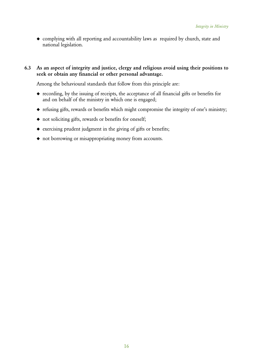◆ complying with all reporting and accountability laws as required by church, state and national legislation.

6.3 As an aspect of integrity and justice, clergy and religious avoid using their positions to seek or obtain any financial or other personal advantage.

- ◆ recording, by the issuing of receipts, the acceptance of all financial gifts or benefits for and on behalf of the ministry in which one is engaged;
- ◆ refusing gifts, rewards or benefits which might compromise the integrity of one's ministry;
- ◆ not soliciting gifts, rewards or benefits for oneself;
- ◆ exercising prudent judgment in the giving of gifts or benefits;
- ◆ not borrowing or misappropriating money from accounts.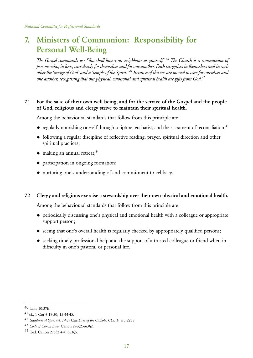# 7. Ministers of Communion: Responsibility for Personal Well-Being

 *The Gospel commands us: 'You shall love your neighbour as yourself.' 40 The Church is a communion of persons who, in love, care deeply for themselves and for one another. Each recognises in themselves and in each other the 'image of God' and a 'temple of the Spirit.' 41 Because of this we are moved to care for ourselves and one another, recognising that our physical, emotional and spiritual health are gifts from God.42*

#### 7.1 For the sake of their own well being, and for the service of the Gospel and the people of God, religious and clergy strive to maintain their spiritual health.

Among the behavioural standards that follow from this principle are:

- $\bullet$  regularly nourishing oneself through scripture, eucharist, and the sacrament of reconciliation;<sup>43</sup>
- ◆ following a regular discipline of reflective reading, prayer, spiritual direction and other spiritual practices;
- $\bullet$  making an annual retreat;<sup>44</sup>
- ◆ participation in ongoing formation;
- ◆ nurturing one's understanding of and commitment to celibacy.

#### 7.2 Clergy and religious exercise a stewardship over their own physical and emotional health.

- ◆ periodically discussing one's physical and emotional health with a colleague or appropriate support person;
- ◆ seeing that one's overall health is regularly checked by appropriately qualified persons;
- ◆ seeking timely professional help and the support of a trusted colleague or friend when in difficulty in one's pastoral or personal life.

<sup>40</sup> Luke 10:27ff.

<sup>41</sup> cf., 1 Cor 6:19-20; 15:44-45.

<sup>42</sup> *Gaudium et Spes, art. 14:1; Catechism of the Catholic Church,* art. 2288.

<sup>43</sup> *Code of Canon Law,* Canon 276§2;663§2.

<sup>44</sup> Ibid. Canon 276§2:4∞; 663§5.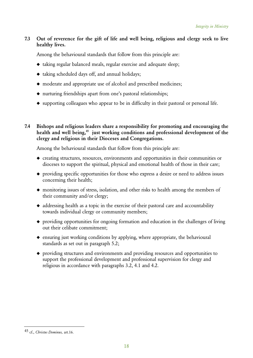#### 7.3 Out of reverence for the gift of life and well being, religious and clergy seek to live healthy lives.

Among the behavioural standards that follow from this principle are:

- ◆ taking regular balanced meals, regular exercise and adequate sleep;
- ◆ taking scheduled days off, and annual holidays;
- ◆ moderate and appropriate use of alcohol and prescribed medicines;
- ◆ nurturing friendships apart from one's pastoral relationships;
- ◆ supporting colleagues who appear to be in difficulty in their pastoral or personal life.

7.4 Bishops and religious leaders share a responsibility for promoting and encouraging the health and well being,<sup>45</sup> just working conditions and professional development of the clergy and religious in their Dioceses and Congregations.

- ◆ creating structures, resources, environments and opportunities in their communities or dioceses to support the spiritual, physical and emotional health of those in their care;
- ◆ providing specific opportunities for those who express a desire or need to address issues concerning their health;
- ◆ monitoring issues of stress, isolation, and other risks to health among the members of their community and/or clergy;
- ◆ addressing health as a topic in the exercise of their pastoral care and accountability towards individual clergy or community members;
- ◆ providing opportunities for ongoing formation and education in the challenges of living out their celibate commitment;
- ◆ ensuring just working conditions by applying, where appropriate, the behavioural standards as set out in paragraph 5.2;
- ◆ providing structures and environments and providing resources and opportunities to support the professional development and professional supervision for clergy and religious in accordance with paragraphs 3.2, 4.1 and 4.2.

<sup>45</sup> cf., *Christus Dominus,* art.16.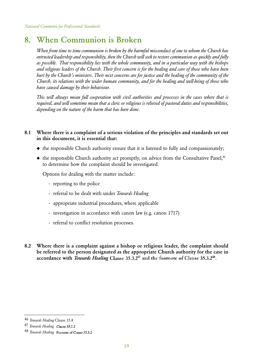### 8. When Communion is Broken

 *When from time to time communion is broken by the harmful misconduct of one to whom the Church has entrusted leadership and responsibility, then the Church will seek to restore communion as quickly and fully as possible. That responsibility lies with the whole community, and in a particular way with the bishops and religious leaders of the Church. Their first concern is for the healing and care of those who have been hurt by the Church's ministers. Their next concerns are for justice and the healing of the community of the Church, its relations with the wider human community, and for the healing and well-being of those who have caused damage by their behaviour.*

 *This will always mean full cooperation with civil authorities and processes in the cases where that is required, and will sometime mean that a cleric or religious is relieved of pastoral duties and responsibilities, depending on the nature of the harm that has been done.*

#### 8.1 Where there is a complaint of a serious violation of the principles and standards set out in this document, it is essential that:

- ◆ the responsible Church authority ensure that it is listened to fully and compassionately;
- $\blacklozenge$  the responsible Church authority act promptly, on advice from the Consultative Panel,<sup>46</sup> to determine how the complaint should be investigated.

Options for dealing with the matter include:

- reporting to the police
- referral to be dealt with under *Towards Healing*
- appropriate industrial procedures, where applicable
- investigation in accordance with canon law (e.g. canon 1717)
- referral to conflict resolution processes.
- 8.2 Where there is a complaint against a bishop or religious leader, the complaint should be referred to the person designated as the appropriate Church authority for the case in accordance with *Towards Healing* Clause 35.3.2<sup>47</sup> and the footnote of Clause 35.3.2<sup>48</sup>.

<sup>46</sup> *Towards Healing* Clause 35.8

<sup>47</sup> *Towards Healing* Clause 35.3.2

<sup>&</sup>lt;sup>48</sup> *Towards Healing* Footnote of Clause 35.3.2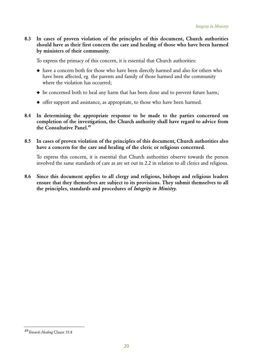8.3 In cases of proven violation of the principles of this document, Church authorities should have as their first concern the care and healing of those who have been harmed by ministers of their community.

To express the primacy of this concern, it is essential that Church authorities:

- ◆ have a concern both for those who have been directly harmed and also for others who have been affected, eg the parents and family of those harmed and the community where the violation has occurred;
- ◆ be concerned both to heal any harm that has been done and to prevent future harm;
- ◆ offer support and assistance, as appropriate, to those who have been harmed.
- 8.4 In determining the appropriate response to be made to the parties concerned on completion of the investigation, the Church authority shall have regard to advice from the Consultative Panel.<sup>49</sup>
- 8.5 In cases of proven violation of the principles of this document, Church authorities also have a concern for the care and healing of the cleric or religious concerned.

To express this concern, it is essential that Church authorities observe towards the person involved the same standards of care as are set out in 2.2 in relation to all clerics and religious.

8.6 Since this document applies to all clergy and religious, bishops and religious leaders ensure that they themselves are subject to its provisions. They submit themselves to all the principles, standards and procedures of *Integrity in Ministry.*

<sup>49</sup>*Towards Healing* Clause 35.8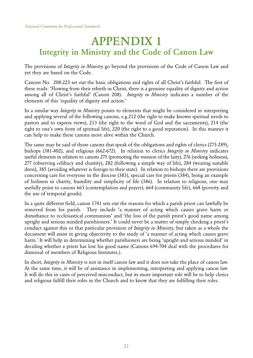# APPENDIX 1 Integrity in Ministry and the Code of Canon Law

The provisions of *Integrity in Ministry* go beyond the provisions of the Code of Canon Law and yet they are based on the Code.

Canons No. 208-223 set out the basic obligations and rights of all Christ's faithful. The first of these reads: 'Flowing from their rebirth in Christ, there is a genuine equality of dignity and action among all of Christ's faithful' (Canon 208). *Integrity in Ministry* indicates a number of the elements of this 'equality of dignity and action.'

In a similar way *Integrity in Ministry* points to elements that might be considered in interpreting and applying several of the following canons, e.g.212 (the right to make known spiritual needs to pastors and to express views), 213 (the right to the word of God and the sacraments), 214 (the right to one's own form of spiritual life), 220 (the right to a good reputation). In this manner it can help to make these canons more alive within the Church.

The same may be said of those canons that speak of the obligations and rights of clerics (273-289), bishops (381-402), and religious (662-672). In relation to clerics *Integrity in Ministry* indicates useful elements in relation to canons 275 (promoting the mission of the laity), 276 (seeking holiness), 277 (observing celibacy and chastity), 282 (following a simple way of life), 284 (wearing suitable dress), 385 (avoiding whatever is foreign to their state). In relation to bishops there are provisions concerning care for everyone in the diocese (383), special care for priests (384), being an example of holiness in charity, humility and simplicity of life (386). In relation to religious, one may usefully point to canons 663 (contemplation and prayer), 664 (community life), 668 (poverty and the use of temporal goods).

In a quite different field, canon 1741 sets out the reasons for which a parish priest can lawfully be removed from his parish. They include 'a manner of acting which causes grave harm or disturbance to ecclesiastical communion' and 'the loss of the parish priest's good name among upright and serious minded parishioners.' It could never be a matter of simply checking a priest's conduct against this or that particular provision of *Integrity in Ministry*, but taken as a whole the document will assist in giving objectivity to the study of 'a manner of acting which causes grave harm.' It will help in determining whether parishioners are being 'upright and serious minded' in deciding whether a priest has lost his good name (Canons 694-704 deal with the procedures for dismissal of members of Religious Institutes.).

In short, *Integrity in Ministry* is not in itself canon law and it does not take the place of canon law. At the same time, it will be of assistance in implementing, interpreting and applying canon law. It will do this in cases of perceived misconduct, but its more important role will be to help clerics and religious fulfill their roles in the Church and to know that they are fulfilling their roles.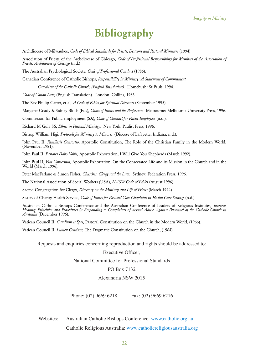# Bibliography Bibliography

Archdiocese of Milwaukee, *Code of Ethical Standards for Priests, Deacons and Pastoral Ministers* (1994) *for Priests, Pastoral* 

Association of Priests of the Archdiocese of Chicago, *Code of Professional Responsibility for Members of the Association of*<br>*Priests, Archdiocese of Chicago* (n.d.) *Priests, Archdiocese of Chicago* (n.d.)

The Australian Psychological Society, *Code of Professional Conduct* (1986).

Canadian Conference of Catholic Bishops, *Responsibility in Ministry: A Statement of Commitment* 

*Catechism of the Catholic Church, (English Translation).* Homebush: St Pauls, 1994.

*Code of Canon Law,* (English Translation). London: Collins, 1983.

The Rev Phillip Carter, et al, *A Code of Ethics for Spiritual Directors* (September 1995).

*Catechism of the Catholic Church, (English Translation).* Homebush: St Pauls, 1994.<br>Code of Canon Law, (English Translation). London: Collins, 1983.<br>The Rev Phillip Carter, et al, *A Code of Ethics for Spiritual Directors* 

Commission for Public employment (SA), *Code of Conduct for Public Employees* (n.d.).<br>Richard M Gula SS, *Ethics in Pastoral Ministry*. New York: Paulist Press, 1996. Richard M Gula SS, *Ethics in Pastoral Ministry.* New York: Paulist Press, 1996.

Bishop William Higi, *Protocols for Ministry to Minors.* (Diocese of Lafayette, Indiana, n.d.).

John Paul II, *Familaris Consortio,* Apostolic Constitution, The Role of the Christian Family in the Modern World,<br>(November 1981). (November 1981).

John Paul II, *Pastores Dabo Vobis,* Apostolic Exhortation, I Will Give You Shepherds (March 1992).

John Paul II, *Vita Consecrata,* Apostolic Exhortation, On the Consecrated Life and its Mission in the Church and in the World (March 1996). aul II, *Pastores Dabo Vobis,* Apostolic Exhortation, I Will Give You Shepherds (March 1992).<br>aul II, *Vita Consecrata,* Apostolic Exhortation, On the Consecrated Life and its Mission in the Church and in the<br>(March 1996).

Peter MacFarlane & Simon Fisher, *Churches, Clergy and the Law.* Sydney: Federation Press, 1996. *the Law.*

The National Association of Social Workers (USA), *NASW Code of Ethics* (August 1996).

The National Association of Social Workers (USA), *NASW Code of Ethics* (August 1996)<br>Sacred Congregation for Clergy, *Directory on the Ministry and Life of Priests* (March 1994).

Sisters of Charity Health Service, *Code of Ethics for Pastoral Care Chaplains in Health Care Settings* (n.d.).

Australian Catholic Bishops Conference and the Australian Conference of Leaders of Religious Institutes, *Towards*  Sisters of Charity Health Service, *Code of Ethics for Pastoral Care Chaplains in Health Care Settings* (n.d.).<br>Australian Catholic Bishops Conference and the Australian Conference of Leaders of Religious Institutes, *Towa Australia* (December 1996).

Vatican Council II, *Gaudium et Spes,* Pastoral Constitution on the Church in the Modern World, (1966).

Vatican Council II, *Gaudium et Spes*, Pastoral Constitution on the Church in the Modern<br>Vatican Council II, *Lumen Gentium,* The Dogmatic Constitution on the Church, (1964).

Requests and enquiries concerning reproduction and rights should be addressed to:

#### Executive Officer,

*Australian Committee Conferences*<br> *Australian Committee for Professional Standards* 

#### PO Box 7132

#### Alexandria NSW 2015

Phone: (02) 9669 6218 Fax: (02) 9669 6216 Fax:  $(02)$  9669 6216

Websites: Australian Catholic Bishops Conference: www.catholic.org.au

Catholic Religious Australia: www.catholicreligiousaustralia.org